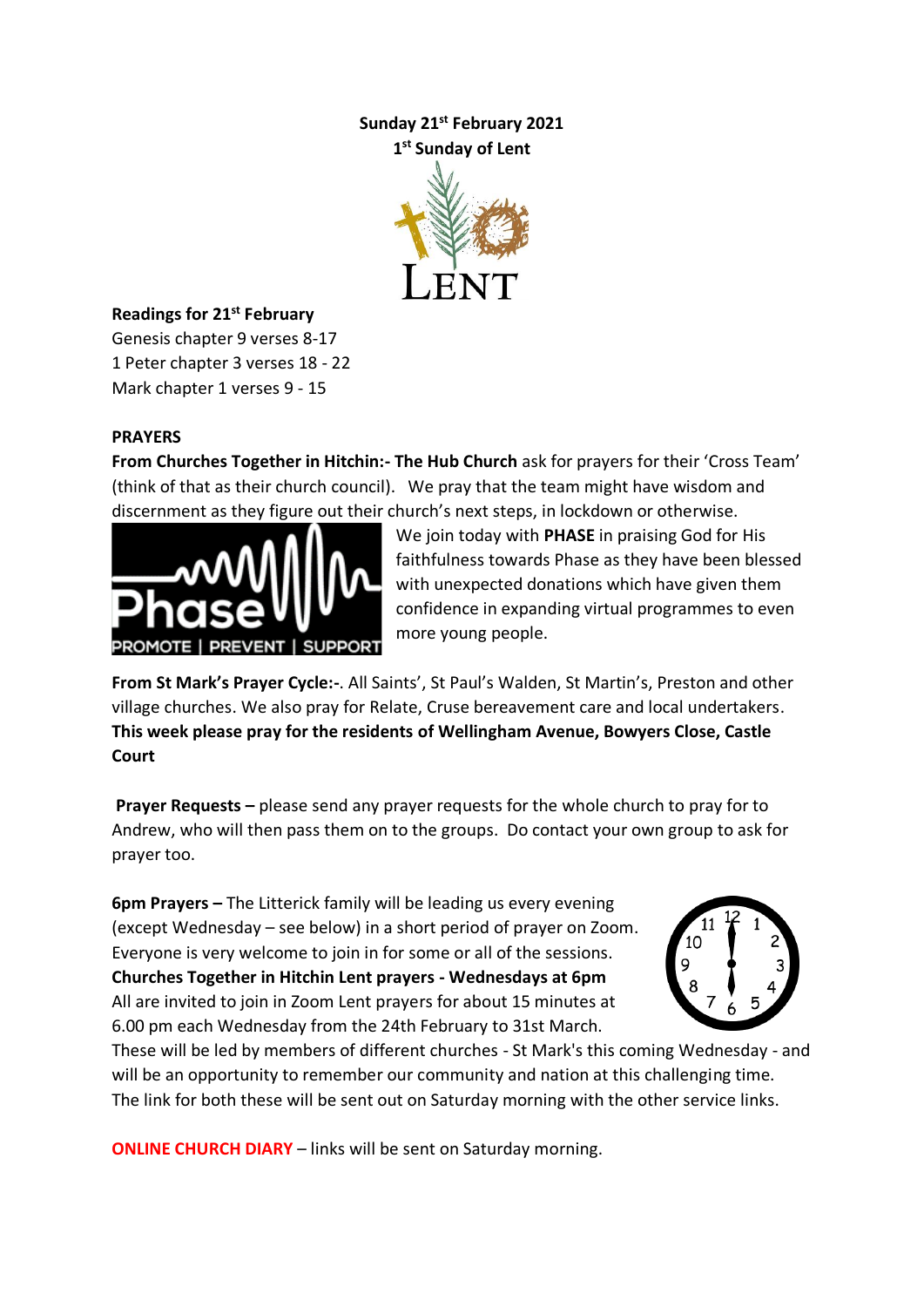# **Sunday 21st February 2021 1 st Sunday of Lent**



## **Readings for 21st February**

Genesis chapter 9 verses 8-17 1 Peter chapter 3 verses 18 - 22 Mark chapter 1 verses 9 - 15

## **PRAYERS**

**From Churches Together in Hitchin:- The Hub Church** ask for prayers for their 'Cross Team' (think of that as their church council). We pray that the team might have wisdom and discernment as they figure out their church's next steps, in lockdown or otherwise.



We join today with **PHASE** in praising God for His faithfulness towards Phase as they have been blessed with unexpected donations which have given them confidence in expanding virtual programmes to even more young people.

**From St Mark's Prayer Cycle:-**. All Saints', St Paul's Walden, St Martin's, Preston and other village churches. We also pray for Relate, Cruse bereavement care and local undertakers. **This week please pray for the residents of Wellingham Avenue, Bowyers Close, Castle Court**

**Prayer Requests –** please send any prayer requests for the whole church to pray for to Andrew, who will then pass them on to the groups. Do contact your own group to ask for prayer too.

**6pm Prayers –** The Litterick family will be leading us every evening (except Wednesday – see below) in a short period of prayer on Zoom. Everyone is very welcome to join in for some or all of the sessions. **Churches Together in Hitchin Lent prayers - Wednesdays at 6pm** All are invited to join in Zoom Lent prayers for about 15 minutes at 6.00 pm each Wednesday from the 24th February to 31st March.



These will be led by members of different churches - St Mark's this coming Wednesday - and will be an opportunity to remember our community and nation at this challenging time. The link for both these will be sent out on Saturday morning with the other service links.

**ONLINE CHURCH DIARY** – links will be sent on Saturday morning.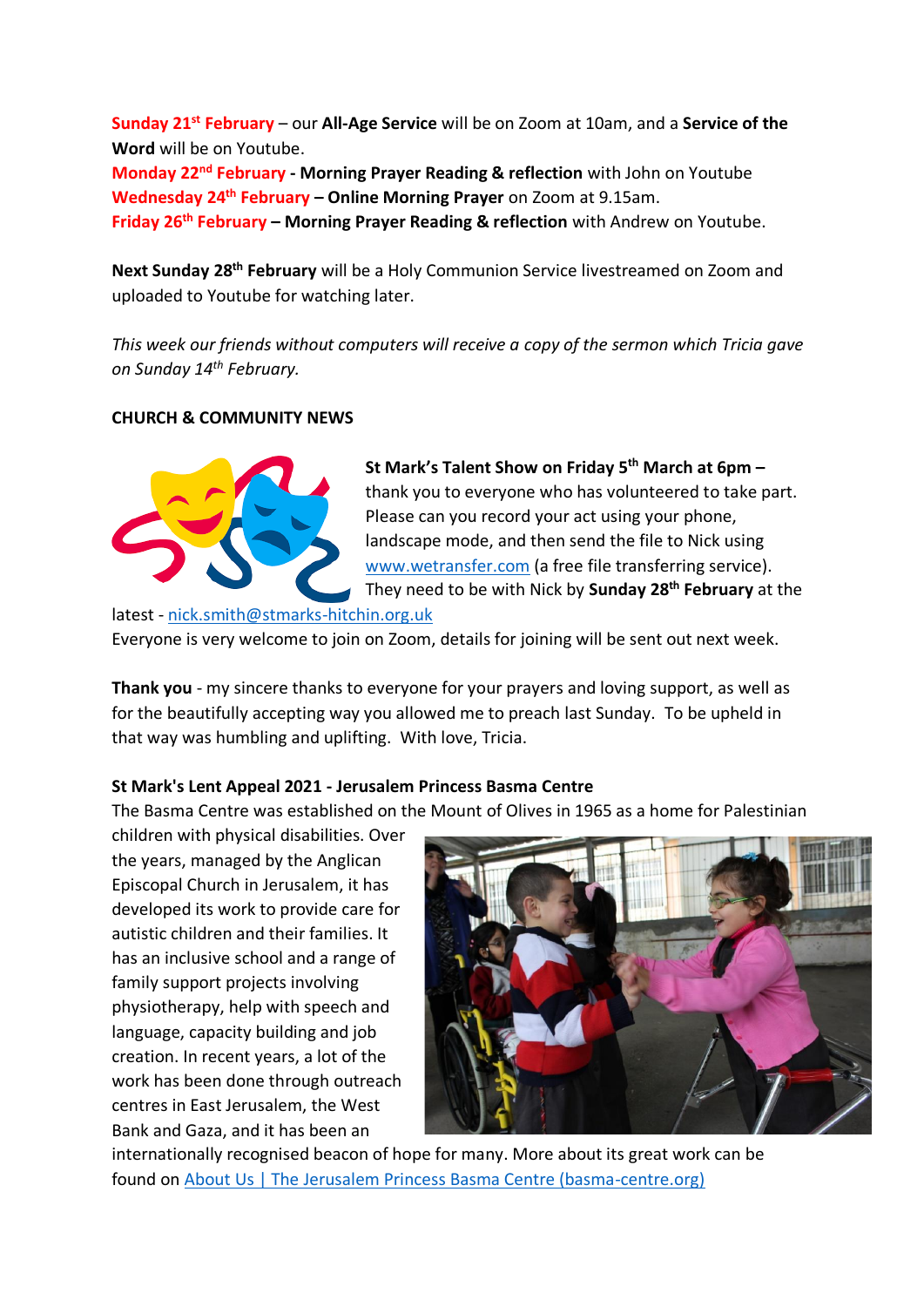**Sunday 21st February** – our **All-Age Service** will be on Zoom at 10am, and a **Service of the Word** will be on Youtube. **Monday 22nd February - Morning Prayer Reading & reflection** with John on Youtube **Wednesday 24th February – Online Morning Prayer** on Zoom at 9.15am. **Friday 26th February – Morning Prayer Reading & reflection** with Andrew on Youtube.

Next Sunday 28<sup>th</sup> February will be a Holy Communion Service livestreamed on Zoom and uploaded to Youtube for watching later.

*This week our friends without computers will receive a copy of the sermon which Tricia gave on Sunday 14th February.*

#### **CHURCH & COMMUNITY NEWS**



**St Mark's Talent Show on Friday 5th March at 6pm –** thank you to everyone who has volunteered to take part. Please can you record your act using your phone, landscape mode, and then send the file to Nick using [www.wetransfer.com](http://www.wetransfer.com/) (a free file transferring service). They need to be with Nick by **Sunday 28th February** at the

latest - [nick.smith@stmarks-hitchin.org.uk](mailto:nick.smith@stmarks-hitchin.org.uk)

Everyone is very welcome to join on Zoom, details for joining will be sent out next week.

**Thank you** - my sincere thanks to everyone for your prayers and loving support, as well as for the beautifully accepting way you allowed me to preach last Sunday. To be upheld in that way was humbling and uplifting. With love, Tricia.

## **St Mark's Lent Appeal 2021 - Jerusalem Princess Basma Centre**

The Basma Centre was established on the Mount of Olives in 1965 as a home for Palestinian

children with physical disabilities. Over the years, managed by the Anglican Episcopal Church in Jerusalem, it has developed its work to provide care for autistic children and their families. It has an inclusive school and a range of family support projects involving physiotherapy, help with speech and language, capacity building and job creation. In recent years, a lot of the work has been done through outreach centres in East Jerusalem, the West Bank and Gaza, and it has been an



internationally recognised beacon of hope for many. More about its great work can be found on [About Us | The Jerusalem Princess Basma Centre \(basma-centre.org\)](https://emea01.safelinks.protection.outlook.com/?url=http%3A%2F%2Fwww.basma-centre.org%2Fabout-us%2F&data=04%7C01%7C%7C14def3d994d94878d10e08d8cac7e6fc%7C84df9e7fe9f640afb435aaaaaaaaaaaa%7C1%7C0%7C637482307207329887%7CUnknown%7CTWFpbGZsb3d8eyJWIjoiMC4wLjAwMDAiLCJQIjoiV2luMzIiLCJBTiI6Ik1haWwiLCJXVCI6Mn0%3D%7C1000&sdata=%2BYlzUmYrk0C9%2FT1a3mwEai8kNsQz7%2FM4SrMt%2FGJGKg4%3D&reserved=0)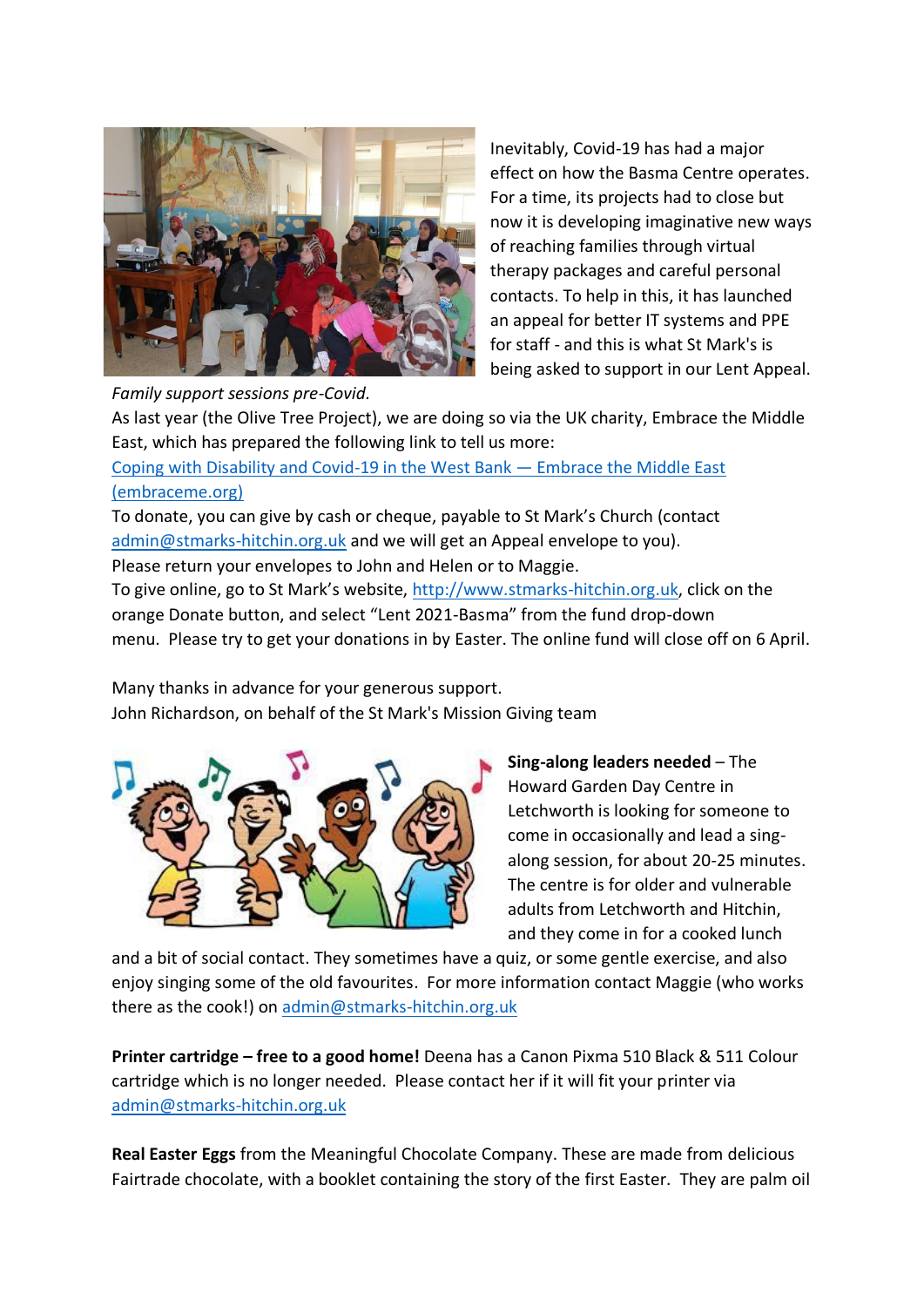

Inevitably, Covid-19 has had a major effect on how the Basma Centre operates. For a time, its projects had to close but now it is developing imaginative new ways of reaching families through virtual therapy packages and careful personal contacts. To help in this, it has launched an appeal for better IT systems and PPE for staff - and this is what St Mark's is being asked to support in our Lent Appeal.

As last year (the Olive Tree Project), we are doing so via the UK charity, Embrace the Middle East, which has prepared the following link to tell us more:

[Coping with Disability and Covid-19 in the West Bank](https://emea01.safelinks.protection.outlook.com/?url=https%3A%2F%2Fembraceme.org%2Fblog%2Fdisability-and-covid-19&data=04%7C01%7C%7C14def3d994d94878d10e08d8cac7e6fc%7C84df9e7fe9f640afb435aaaaaaaaaaaa%7C1%7C0%7C637482307207329887%7CUnknown%7CTWFpbGZsb3d8eyJWIjoiMC4wLjAwMDAiLCJQIjoiV2luMzIiLCJBTiI6Ik1haWwiLCJXVCI6Mn0%3D%7C1000&sdata=KTMckm4JMyBE6I7D44wYmaV7yySWA0niwIHkLoMtJQU%3D&reserved=0) — Embrace the Middle East [\(embraceme.org\)](https://emea01.safelinks.protection.outlook.com/?url=https%3A%2F%2Fembraceme.org%2Fblog%2Fdisability-and-covid-19&data=04%7C01%7C%7C14def3d994d94878d10e08d8cac7e6fc%7C84df9e7fe9f640afb435aaaaaaaaaaaa%7C1%7C0%7C637482307207329887%7CUnknown%7CTWFpbGZsb3d8eyJWIjoiMC4wLjAwMDAiLCJQIjoiV2luMzIiLCJBTiI6Ik1haWwiLCJXVCI6Mn0%3D%7C1000&sdata=KTMckm4JMyBE6I7D44wYmaV7yySWA0niwIHkLoMtJQU%3D&reserved=0)

To donate, you can give by cash or cheque, payable to St Mark's Church (contact [admin@stmarks-hitchin.org.uk](mailto:admin@stmarks-hitchin.org.uk) and we will get an Appeal envelope to you). Please return your envelopes to John and Helen or to Maggie.

To give online, go to St Mark's website, [http://www.stmarks-hitchin.org.uk,](http://www.stmarks-hitchin.org.uk/) click on the orange Donate button, and select "Lent 2021-Basma" from the fund drop-down menu. Please try to get your donations in by Easter. The online fund will close off on 6 April.

Many thanks in advance for your generous support. John Richardson, on behalf of the St Mark's Mission Giving team



**Sing-along leaders needed** – The Howard Garden Day Centre in Letchworth is looking for someone to come in occasionally and lead a singalong session, for about 20-25 minutes. The centre is for older and vulnerable adults from Letchworth and Hitchin, and they come in for a cooked lunch

and a bit of social contact. They sometimes have a quiz, or some gentle exercise, and also enjoy singing some of the old favourites. For more information contact Maggie (who works there as the cook!) on [admin@stmarks-hitchin.org.uk](mailto:admin@stmarks-hitchin.org.uk)

**Printer cartridge – free to a good home!** Deena has a Canon Pixma 510 Black & 511 Colour cartridge which is no longer needed. Please contact her if it will fit your printer via [admin@stmarks-hitchin.org.uk](mailto:admin@stmarks-hitchin.org.uk)

**Real Easter Eggs** from the Meaningful Chocolate Company. These are made from delicious Fairtrade chocolate, with a booklet containing the story of the first Easter. They are palm oil